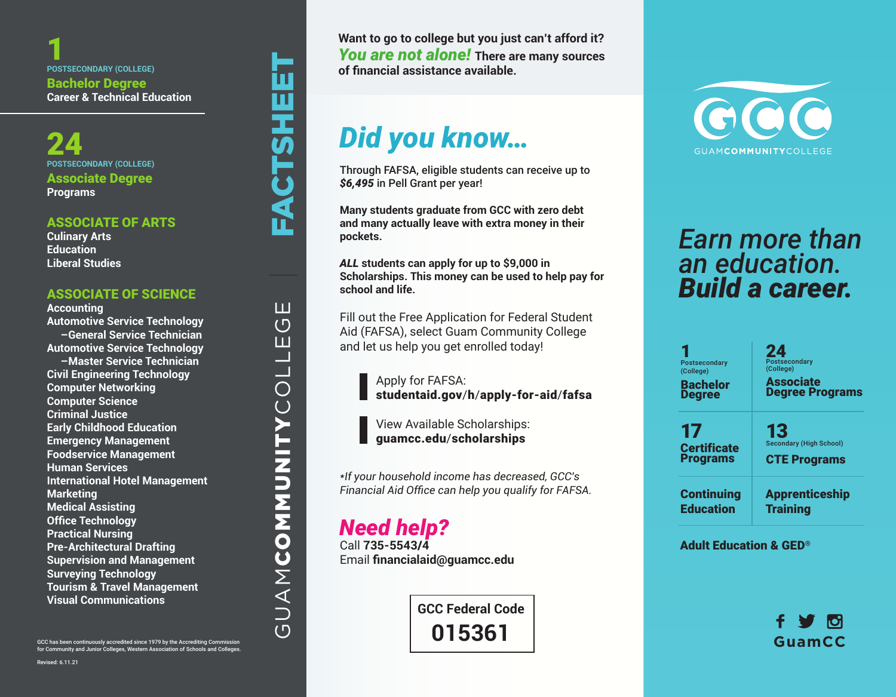1 **POSTSECONDARY (COLLEGE)** Bachelor Degree **Career & Technical Education** 

24 **POSTSECONDARY (COLLEGE)** Associate Degree **Programs**

#### ASSOCIATE OF ARTS

**Culinary Arts Education Liberal Studies**

#### ASSOCIATE OF SCIENCE

**Accounting Automotive Service Technology –General Service Technician Automotive Service Technology –Master Service Technician Civil Engineering Technology Computer Networking Computer Science Criminal Justice Early Childhood Education Emergency Management Foodservice Management Human Services International Hotel Management Marketing Medical Assisting Office Technology Practical Nursing Pre-Architectural Drafting Supervision and Management Surveying Technology Tourism & Travel Management Visual Communications**

| FACTSHEET ш GUAMCOMMUNITYCOLLEGE  $\overline{\mathbf{u}}$  $\frac{1}{\text{O}}$ **GUAMMMUNITY** 

GCC has been continuously accredited since 1979 by the Accrediting Commission for Community and Junior Colleges, Western Association of Schools and Colleges.

**Want to go to college but you just can't afford it?** *You are not alone!* **There are many sources of financial assistance available.**

# *Did you know…*

Through FAFSA, eligible students can receive up to *\$6,495* in Pell Grant per year!

**Many students graduate from GCC with zero debt and many actually leave with extra money in their pockets.**

*ALL* **students can apply for up to \$9,000 in Scholarships. This money can be used to help pay for school and life.** 

Fill out the Free Application for Federal Student Aid (FAFSA), select Guam Community College and let us help you get enrolled today!

Apply for FAFSA: studentaid.gov/h/apply-for-aid/fafsa

View Available Scholarships: guamcc.edu/scholarships

*\*If your household income has decreased, GCC's Financial Aid Office can help you qualify for FAFSA.*

### *Need help?*

Call **735-5543/4**  Email **financialaid@guamcc.edu**

> **GCC Federal Code 015361**



## *Earn more than an education. Build a career.*

| Postsecondary<br>(College)<br><b>Bachelor</b><br><b>Degree</b> | 24<br><b>Postsecondary</b><br>(College)<br><b>Associate</b><br><b>Degree Programs</b> |
|----------------------------------------------------------------|---------------------------------------------------------------------------------------|
| 17                                                             | 13                                                                                    |
| <b>Certificate</b>                                             | <b>Secondary (High School)</b>                                                        |
| <b>Programs</b>                                                | <b>CTE Programs</b>                                                                   |
| <b>Continuing</b>                                              | <b>Apprenticeship</b>                                                                 |
| <b>Education</b>                                               | <b>Training</b>                                                                       |

Adult Education & GED®